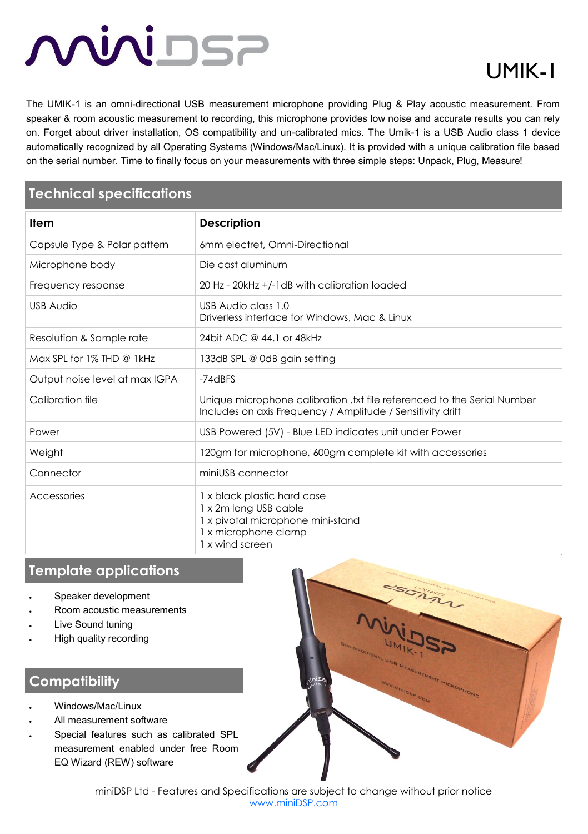# <u>MUNISE</u>

# UMIK-1

The UMIK-1 is an omni-directional USB measurement microphone providing Plug & Play acoustic measurement. From speaker & room acoustic measurement to recording, this microphone provides low noise and accurate results you can rely on. Forget about driver installation, OS compatibility and un-calibrated mics. The Umik-1 is a USB Audio class 1 device automatically recognized by all Operating Systems (Windows/Mac/Linux). It is provided with a unique calibration file based on the serial number. Time to finally focus on your measurements with three simple steps: Unpack, Plug, Measure!

## **Technical specifications**

| Item                           | <b>Description</b>                                                                                                                    |
|--------------------------------|---------------------------------------------------------------------------------------------------------------------------------------|
| Capsule Type & Polar pattern   | 6mm electret, Omni-Directional                                                                                                        |
| Microphone body                | Die cast aluminum                                                                                                                     |
| Frequency response             | 20 Hz - 20kHz +/-1dB with calibration loaded                                                                                          |
| <b>USB Audio</b>               | USB Audio class 1.0<br>Driverless interface for Windows, Mac & Linux                                                                  |
| Resolution & Sample rate       | 24 bit ADC @ 44.1 or 48 kHz                                                                                                           |
| Max SPL for 1% THD @ 1kHz      | 133dB SPL @ 0dB gain setting                                                                                                          |
| Output noise level at max IGPA | $-74$ dBFS                                                                                                                            |
| Calibration file               | Unique microphone calibration .txt file referenced to the Serial Number<br>Includes on axis Frequency / Amplitude / Sensitivity drift |
| Power                          | USB Powered (5V) - Blue LED indicates unit under Power                                                                                |
| Weight                         | 120gm for microphone, 600gm complete kit with accessories                                                                             |
| Connector                      | miniUSB connector                                                                                                                     |
| Accessories                    | 1 x black plastic hard case<br>1 x 2m long USB cable<br>1 x pivotal microphone mini-stand<br>1 x microphone clamp<br>1 x wind screen  |

### **Template applications**

- Speaker development
- Room acoustic measurements
- Live Sound tuning
- High quality recording

#### **Compatibility**

- Windows/Mac/Linux
- All measurement software
- Special features such as calibrated SPL measurement enabled under free Room EQ Wizard (REW) software